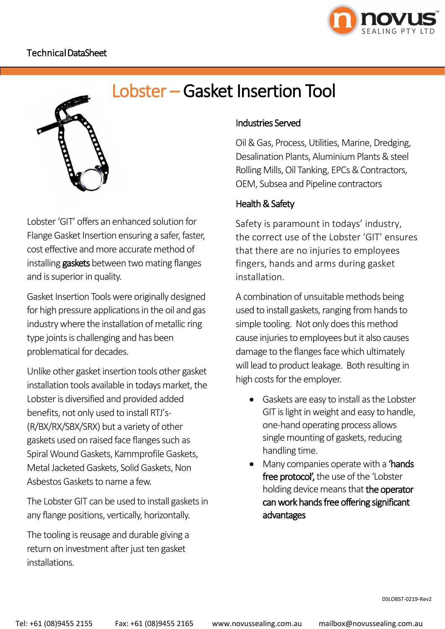

Lobster'GIT' offers an enhanced solution for Flange Gasket Insertion ensuring a safer, faster, cost effective and more accurate method of installing gaskets between two mating flanges and is superior in quality.

Gasket Insertion Tools were originally designed for high pressure applications in the oil and gas industry where the installation of metallic ring type joints is challenging and has been problematical for decades.

Unlike other gasket insertion tools other gasket installation tools available in todays market, the Lobster is diversified and provided added benefits, not only used to install RTJ's-(R/BX/RX/SBX/SRX) but a variety of other gaskets used on raised face flanges such as Spiral Wound Gaskets, Kammprofile Gaskets, Metal Jacketed Gaskets, Solid Gaskets, Non Asbestos Gaskets to name a few.

The Lobster GIT can be used to install gaskets in any flange positions, vertically, horizontally.

The tooling is reusage and durable giving a return on investment after just ten gasket installations.

# Industries Served

Oil & Gas, Process, Utilities, Marine, Dredging, Desalination Plants, Aluminium Plants & steel Rolling Mills, Oil Tanking, EPCs & Contractors, OEM, Subsea and Pipeline contractors

# Health & Safety

Safety is paramount in todays' industry, the correct use of the Lobster 'GIT' ensures that there are no injuries to employees fingers, hands and arms during gasket installation.

A combination of unsuitable methods being used to install gaskets, ranging from hands to simple tooling. Not only does this method cause injuries to employees but it also causes damage to the flanges face which ultimately will lead to product leakage. Both resulting in high costs for the employer.

- Gaskets are easy to install as the Lobster GIT is light in weight and easy to handle, one-hand operating process allows single mounting of gaskets, reducing handling time.
- Many companies operate with a **'hands** free protocol', the use of the 'Lobster holding device means that the operator can work hands free offering significant advantages